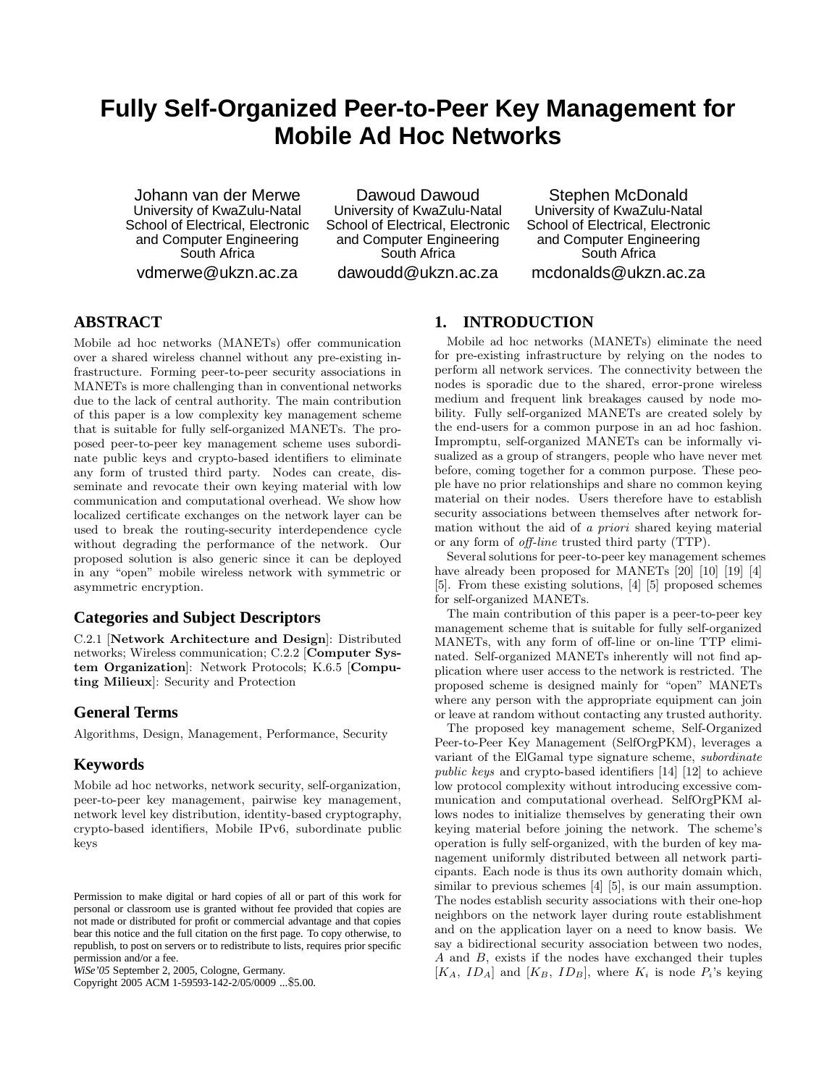# **Fully Self-Organized Peer-to-Peer Key Management for Mobile Ad Hoc Networks**

Johann van der Merwe University of KwaZulu-Natal School of Electrical, Electronic and Computer Engineering South Africa vdmerwe@ukzn.ac.za

Dawoud Dawoud University of KwaZulu-Natal School of Electrical, Electronic and Computer Engineering South Africa dawoudd@ukzn.ac.za

Stephen McDonald University of KwaZulu-Natal School of Electrical, Electronic and Computer Engineering South Africa mcdonalds@ukzn.ac.za

# **ABSTRACT**

Mobile ad hoc networks (MANETs) offer communication over a shared wireless channel without any pre-existing infrastructure. Forming peer-to-peer security associations in MANETs is more challenging than in conventional networks due to the lack of central authority. The main contribution of this paper is a low complexity key management scheme that is suitable for fully self-organized MANETs. The proposed peer-to-peer key management scheme uses subordinate public keys and crypto-based identifiers to eliminate any form of trusted third party. Nodes can create, disseminate and revocate their own keying material with low communication and computational overhead. We show how localized certificate exchanges on the network layer can be used to break the routing-security interdependence cycle without degrading the performance of the network. Our proposed solution is also generic since it can be deployed in any "open" mobile wireless network with symmetric or asymmetric encryption.

# **Categories and Subject Descriptors**

C.2.1 [Network Architecture and Design]: Distributed networks; Wireless communication; C.2.2 [Computer System Organization]: Network Protocols; K.6.5 [Computing Milieux]: Security and Protection

# **General Terms**

Algorithms, Design, Management, Performance, Security

# **Keywords**

Mobile ad hoc networks, network security, self-organization, peer-to-peer key management, pairwise key management, network level key distribution, identity-based cryptography, crypto-based identifiers, Mobile IPv6, subordinate public keys

Copyright 2005 ACM 1-59593-142-2/05/0009 ...\$5.00.

## **1. INTRODUCTION**

Mobile ad hoc networks (MANETs) eliminate the need for pre-existing infrastructure by relying on the nodes to perform all network services. The connectivity between the nodes is sporadic due to the shared, error-prone wireless medium and frequent link breakages caused by node mobility. Fully self-organized MANETs are created solely by the end-users for a common purpose in an ad hoc fashion. Impromptu, self-organized MANETs can be informally visualized as a group of strangers, people who have never met before, coming together for a common purpose. These people have no prior relationships and share no common keying material on their nodes. Users therefore have to establish security associations between themselves after network formation without the aid of a priori shared keying material or any form of off-line trusted third party (TTP).

Several solutions for peer-to-peer key management schemes have already been proposed for MANETs [20] [10] [19] [4] [5]. From these existing solutions, [4] [5] proposed schemes for self-organized MANETs.

The main contribution of this paper is a peer-to-peer key management scheme that is suitable for fully self-organized MANETs, with any form of off-line or on-line TTP eliminated. Self-organized MANETs inherently will not find application where user access to the network is restricted. The proposed scheme is designed mainly for "open" MANETs where any person with the appropriate equipment can join or leave at random without contacting any trusted authority.

The proposed key management scheme, Self-Organized Peer-to-Peer Key Management (SelfOrgPKM), leverages a variant of the ElGamal type signature scheme, subordinate public keys and crypto-based identifiers [14] [12] to achieve low protocol complexity without introducing excessive communication and computational overhead. SelfOrgPKM allows nodes to initialize themselves by generating their own keying material before joining the network. The scheme's operation is fully self-organized, with the burden of key management uniformly distributed between all network participants. Each node is thus its own authority domain which, similar to previous schemes [4] [5], is our main assumption. The nodes establish security associations with their one-hop neighbors on the network layer during route establishment and on the application layer on a need to know basis. We say a bidirectional security association between two nodes, A and B, exists if the nodes have exchanged their tuples  $[K_A, ID_A]$  and  $[K_B, ID_B]$ , where  $K_i$  is node  $P_i$ 's keying

Permission to make digital or hard copies of all or part of this work for personal or classroom use is granted without fee provided that copies are not made or distributed for profit or commercial advantage and that copies bear this notice and the full citation on the first page. To copy otherwise, to republish, to post on servers or to redistribute to lists, requires prior specific permission and/or a fee.

*WiSe'05* September 2, 2005, Cologne, Germany.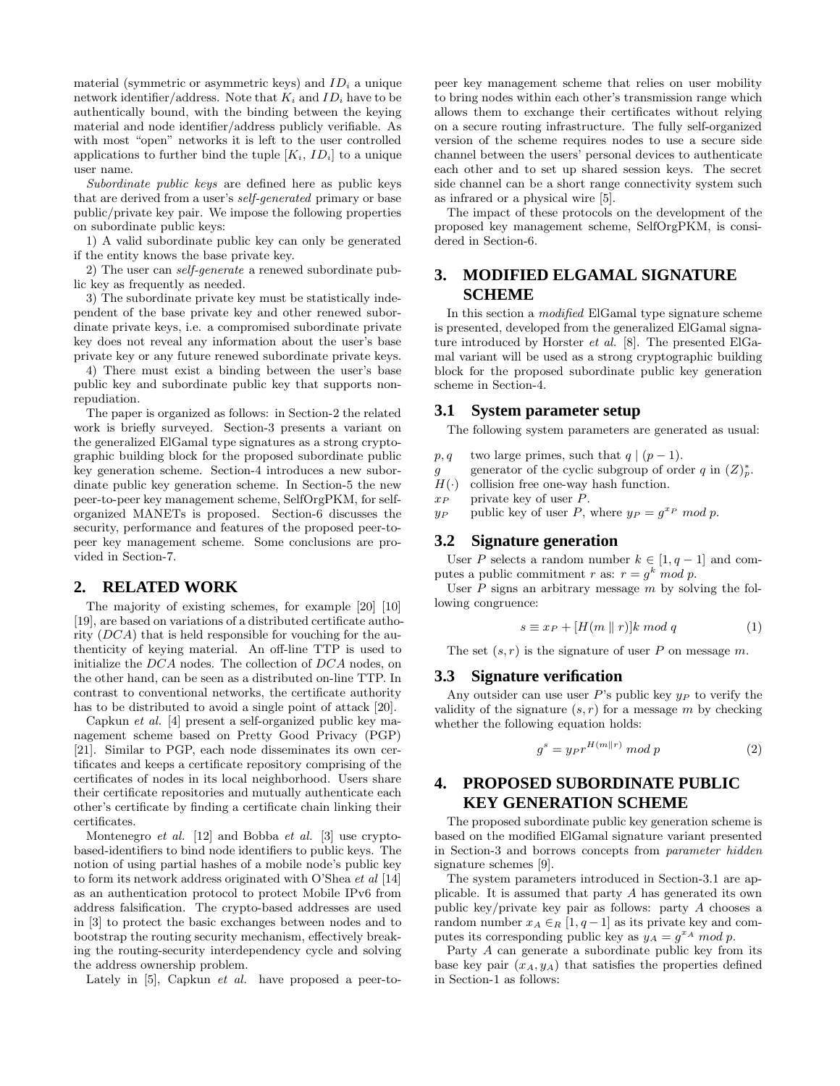material (symmetric or asymmetric keys) and  $ID_i$  a unique network identifier/address. Note that  $K_i$  and  $ID_i$  have to be authentically bound, with the binding between the keying material and node identifier/address publicly verifiable. As with most "open" networks it is left to the user controlled applications to further bind the tuple  $[K_i, ID_i]$  to a unique user name.

Subordinate public keys are defined here as public keys that are derived from a user's self-generated primary or base public/private key pair. We impose the following properties on subordinate public keys:

1) A valid subordinate public key can only be generated if the entity knows the base private key.

2) The user can self-generate a renewed subordinate public key as frequently as needed.

3) The subordinate private key must be statistically independent of the base private key and other renewed subordinate private keys, i.e. a compromised subordinate private key does not reveal any information about the user's base private key or any future renewed subordinate private keys.

4) There must exist a binding between the user's base public key and subordinate public key that supports nonrepudiation.

The paper is organized as follows: in Section-2 the related work is briefly surveyed. Section-3 presents a variant on the generalized ElGamal type signatures as a strong cryptographic building block for the proposed subordinate public key generation scheme. Section-4 introduces a new subordinate public key generation scheme. In Section-5 the new peer-to-peer key management scheme, SelfOrgPKM, for selforganized MANETs is proposed. Section-6 discusses the security, performance and features of the proposed peer-topeer key management scheme. Some conclusions are provided in Section-7.

## **2. RELATED WORK**

The majority of existing schemes, for example [20] [10] [19], are based on variations of a distributed certificate authority  $(DCA)$  that is held responsible for vouching for the authenticity of keying material. An off-line TTP is used to initialize the DCA nodes. The collection of DCA nodes, on the other hand, can be seen as a distributed on-line TTP. In contrast to conventional networks, the certificate authority has to be distributed to avoid a single point of attack [20].

Capkun et al. [4] present a self-organized public key management scheme based on Pretty Good Privacy (PGP) [21]. Similar to PGP, each node disseminates its own certificates and keeps a certificate repository comprising of the certificates of nodes in its local neighborhood. Users share their certificate repositories and mutually authenticate each other's certificate by finding a certificate chain linking their certificates.

Montenegro et al. [12] and Bobba et al. [3] use cryptobased-identifiers to bind node identifiers to public keys. The notion of using partial hashes of a mobile node's public key to form its network address originated with O'Shea et al [14] as an authentication protocol to protect Mobile IPv6 from address falsification. The crypto-based addresses are used in [3] to protect the basic exchanges between nodes and to bootstrap the routing security mechanism, effectively breaking the routing-security interdependency cycle and solving the address ownership problem.

Lately in [5], Capkun et al. have proposed a peer-to-

peer key management scheme that relies on user mobility to bring nodes within each other's transmission range which allows them to exchange their certificates without relying on a secure routing infrastructure. The fully self-organized version of the scheme requires nodes to use a secure side channel between the users' personal devices to authenticate each other and to set up shared session keys. The secret side channel can be a short range connectivity system such as infrared or a physical wire [5].

The impact of these protocols on the development of the proposed key management scheme, SelfOrgPKM, is considered in Section-6.

# **3. MODIFIED ELGAMAL SIGNATURE SCHEME**

In this section a modified ElGamal type signature scheme is presented, developed from the generalized ElGamal signature introduced by Horster et al. [8]. The presented ElGamal variant will be used as a strong cryptographic building block for the proposed subordinate public key generation scheme in Section-4.

#### **3.1 System parameter setup**

The following system parameters are generated as usual:

- $p, q$  two large primes, such that  $q | (p-1)$ .
- g generator of the cyclic subgroup of order q in  $(Z)_p^*$ .
- $H(\cdot)$  collision free one-way hash function.
- $x_P$  private key of user  $P$ .
- $y_P$  public key of user P, where  $y_P = g^{x_P} \mod p$ .

#### **3.2 Signature generation**

User P selects a random number  $k \in [1, q-1]$  and computes a public commitment r as:  $r = g^k \mod p$ .

User  $P$  signs an arbitrary message  $m$  by solving the following congruence:

$$
s \equiv x_P + [H(m \parallel r)]k \mod q \tag{1}
$$

The set  $(s, r)$  is the signature of user P on message m.

#### **3.3 Signature verification**

Any outsider can use user  $P$ 's public key  $y_P$  to verify the validity of the signature  $(s, r)$  for a message m by checking whether the following equation holds:

$$
g^s = y_P r^{H(m||r)} \bmod p \tag{2}
$$

# **4. PROPOSED SUBORDINATE PUBLIC KEY GENERATION SCHEME**

The proposed subordinate public key generation scheme is based on the modified ElGamal signature variant presented in Section-3 and borrows concepts from parameter hidden signature schemes [9].

The system parameters introduced in Section-3.1 are applicable. It is assumed that party A has generated its own public key/private key pair as follows: party A chooses a random number  $x_A \in_R [1, q-1]$  as its private key and computes its corresponding public key as  $y_A = g^{x_A} \mod p$ .

Party A can generate a subordinate public key from its base key pair  $(x_A, y_A)$  that satisfies the properties defined in Section-1 as follows: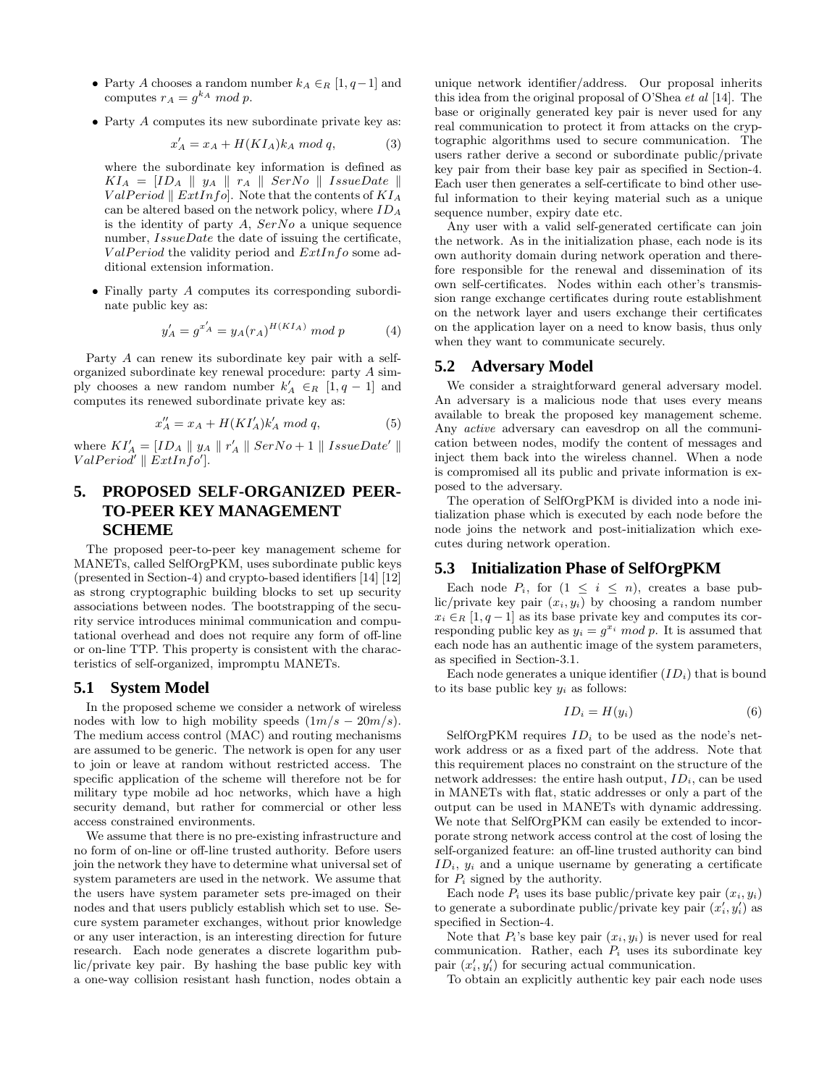- Party A chooses a random number  $k_A \in_R [1, q-1]$  and computes  $r_A = g^{k_A} \mod p$ .
- Party  $A$  computes its new subordinate private key as:

$$
x'_A = x_A + H(KI_A)k_A \mod q,\tag{3}
$$

where the subordinate key information is defined as  $KI_A = [ID_A \parallel y_A \parallel r_A \parallel SerNo \parallel IssueDate \parallel$  $ValPeriod \parallel ExtInfo$ . Note that the contents of  $KI_A$ can be altered based on the network policy, where  $ID_A$ is the identity of party  $A$ ,  $SerNo$  a unique sequence number,  $Is sueDate$  the date of issuing the certificate,  $ValPeriod$  the validity period and  $ExtInfo$  some additional extension information.

• Finally party A computes its corresponding subordinate public key as:

$$
y'_{A} = g^{x'_{A}} = y_{A}(r_{A})^{H(KI_{A})} \mod p \tag{4}
$$

Party A can renew its subordinate key pair with a selforganized subordinate key renewal procedure: party A simply chooses a new random number  $k'_A \in_R [1, q-1]$  and computes its renewed subordinate private key as:

$$
x_A'' = x_A + H(KI'_A)k'_A \text{ mod } q,\tag{5}
$$

where  $KI'_A = [ID_A \parallel y_A \parallel r'_A \parallel SerNo + 1 \parallel Is sueDate' \parallel$  $ValPeriod' \parallel ExtInfo'$ ].

# **5. PROPOSED SELF-ORGANIZED PEER-TO-PEER KEY MANAGEMENT SCHEME**

The proposed peer-to-peer key management scheme for MANETs, called SelfOrgPKM, uses subordinate public keys (presented in Section-4) and crypto-based identifiers [14] [12] as strong cryptographic building blocks to set up security associations between nodes. The bootstrapping of the security service introduces minimal communication and computational overhead and does not require any form of off-line or on-line TTP. This property is consistent with the characteristics of self-organized, impromptu MANETs.

#### **5.1 System Model**

In the proposed scheme we consider a network of wireless nodes with low to high mobility speeds  $(1m/s - 20m/s)$ . The medium access control (MAC) and routing mechanisms are assumed to be generic. The network is open for any user to join or leave at random without restricted access. The specific application of the scheme will therefore not be for military type mobile ad hoc networks, which have a high security demand, but rather for commercial or other less access constrained environments.

We assume that there is no pre-existing infrastructure and no form of on-line or off-line trusted authority. Before users join the network they have to determine what universal set of system parameters are used in the network. We assume that the users have system parameter sets pre-imaged on their nodes and that users publicly establish which set to use. Secure system parameter exchanges, without prior knowledge or any user interaction, is an interesting direction for future research. Each node generates a discrete logarithm public/private key pair. By hashing the base public key with a one-way collision resistant hash function, nodes obtain a

unique network identifier/address. Our proposal inherits this idea from the original proposal of O'Shea et al [14]. The base or originally generated key pair is never used for any real communication to protect it from attacks on the cryptographic algorithms used to secure communication. The users rather derive a second or subordinate public/private key pair from their base key pair as specified in Section-4. Each user then generates a self-certificate to bind other useful information to their keying material such as a unique sequence number, expiry date etc.

Any user with a valid self-generated certificate can join the network. As in the initialization phase, each node is its own authority domain during network operation and therefore responsible for the renewal and dissemination of its own self-certificates. Nodes within each other's transmission range exchange certificates during route establishment on the network layer and users exchange their certificates on the application layer on a need to know basis, thus only when they want to communicate securely.

#### **5.2 Adversary Model**

We consider a straightforward general adversary model. An adversary is a malicious node that uses every means available to break the proposed key management scheme. Any active adversary can eavesdrop on all the communication between nodes, modify the content of messages and inject them back into the wireless channel. When a node is compromised all its public and private information is exposed to the adversary.

The operation of SelfOrgPKM is divided into a node initialization phase which is executed by each node before the node joins the network and post-initialization which executes during network operation.

#### **5.3 Initialization Phase of SelfOrgPKM**

Each node  $P_i$ , for  $(1 \leq i \leq n)$ , creates a base public/private key pair  $(x_i, y_i)$  by choosing a random number  $x_i \in_R [1, q-1]$  as its base private key and computes its corresponding public key as  $y_i = g^{x_i} \mod p$ . It is assumed that each node has an authentic image of the system parameters, as specified in Section-3.1.

Each node generates a unique identifier  $(ID_i)$  that is bound to its base public key  $y_i$  as follows:

$$
ID_i = H(y_i) \tag{6}
$$

SelfOrgPKM requires  $ID_i$  to be used as the node's network address or as a fixed part of the address. Note that this requirement places no constraint on the structure of the network addresses: the entire hash output,  $ID_i$ , can be used in MANETs with flat, static addresses or only a part of the output can be used in MANETs with dynamic addressing. We note that SelfOrgPKM can easily be extended to incorporate strong network access control at the cost of losing the self-organized feature: an off-line trusted authority can bind  $ID_i$ ,  $y_i$  and a unique username by generating a certificate for  $P_i$  signed by the authority.

Each node  $P_i$  uses its base public/private key pair  $(x_i, y_i)$ to generate a subordinate public/private key pair  $(x'_i, y'_i)$  as specified in Section-4.

Note that  $P_i$ 's base key pair  $(x_i, y_i)$  is never used for real communication. Rather, each  $P_i$  uses its subordinate key pair  $(x'_i, y'_i)$  for securing actual communication.

To obtain an explicitly authentic key pair each node uses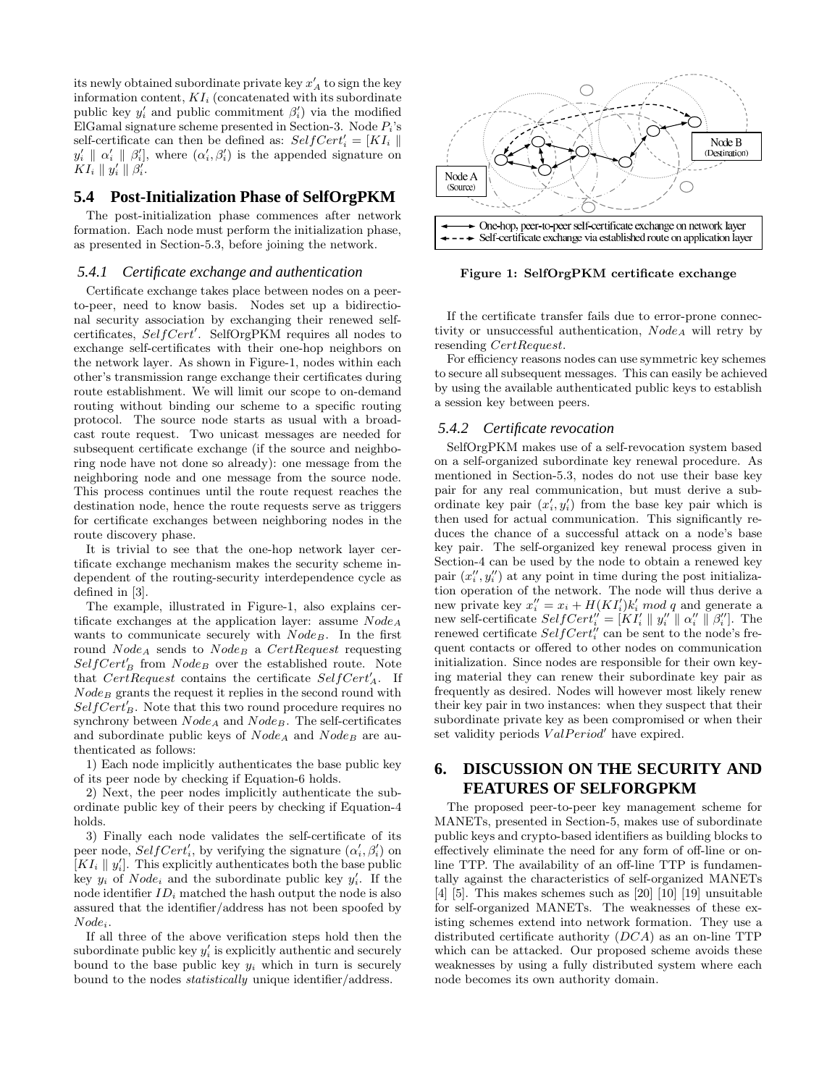its newly obtained subordinate private key  $x'_A$  to sign the key information content,  $KI_i$  (concatenated with its subordinate public key  $y'_i$  and public commitment  $\beta'_i$  via the modified ElGamal signature scheme presented in Section-3. Node  $P_i$ 's self-certificate can then be defined as:  $SelfCert'_i = [KI_i \parallel$  $y'_{i} \parallel \alpha'_{i} \parallel \beta'_{i}$ , where  $(\alpha'_{i}, \beta'_{i})$  is the appended signature on  $KI_i \parallel y'_i \parallel \beta'_i.$ 

#### **5.4 Post-Initialization Phase of SelfOrgPKM**

The post-initialization phase commences after network formation. Each node must perform the initialization phase, as presented in Section-5.3, before joining the network.

#### *5.4.1 Certificate exchange and authentication*

Certificate exchange takes place between nodes on a peerto-peer, need to know basis. Nodes set up a bidirectional security association by exchanging their renewed selfcertificates, SelfCert'. SelfOrgPKM requires all nodes to exchange self-certificates with their one-hop neighbors on the network layer. As shown in Figure-1, nodes within each other's transmission range exchange their certificates during route establishment. We will limit our scope to on-demand routing without binding our scheme to a specific routing protocol. The source node starts as usual with a broadcast route request. Two unicast messages are needed for subsequent certificate exchange (if the source and neighboring node have not done so already): one message from the neighboring node and one message from the source node. This process continues until the route request reaches the destination node, hence the route requests serve as triggers for certificate exchanges between neighboring nodes in the route discovery phase.

It is trivial to see that the one-hop network layer certificate exchange mechanism makes the security scheme independent of the routing-security interdependence cycle as defined in [3].

The example, illustrated in Figure-1, also explains certificate exchanges at the application layer: assume  $Node_A$ wants to communicate securely with  $Node_B$ . In the first round  $Node_A$  sends to  $Node_B$  a  $CertRequest$  requesting  $SelfCert'_{B}$  from  $Node_{B}$  over the established route. Note that  $CertRequest$  contains the certificate  $SelfCert'_A$ . If  $Node_B$  grants the request it replies in the second round with  $SelfCert'_{B}$ . Note that this two round procedure requires no synchrony between  $Node_A$  and  $Node_B$ . The self-certificates and subordinate public keys of  $Node_A$  and  $Node_B$  are authenticated as follows:

1) Each node implicitly authenticates the base public key of its peer node by checking if Equation-6 holds.

2) Next, the peer nodes implicitly authenticate the subordinate public key of their peers by checking if Equation-4 holds.

3) Finally each node validates the self-certificate of its peer node,  $SelfCert'_i$ , by verifying the signature  $(\alpha'_i, \beta'_i)$  on  $[KI_i \parallel y'_i]$ . This explicitly authenticates both the base public key  $y_i$  of  $Node_i$  and the subordinate public key  $y'_i$ . If the node identifier  $ID_i$  matched the hash output the node is also assured that the identifier/address has not been spoofed by  $Node_i$ .

If all three of the above verification steps hold then the subordinate public key  $y_i'$  is explicitly authentic and securely bound to the base public key  $y_i$  which in turn is securely bound to the nodes statistically unique identifier/address.



Figure 1: SelfOrgPKM certificate exchange

If the certificate transfer fails due to error-prone connectivity or unsuccessful authentication,  $Node_A$  will retry by resending CertRequest.

For efficiency reasons nodes can use symmetric key schemes to secure all subsequent messages. This can easily be achieved by using the available authenticated public keys to establish a session key between peers.

#### *5.4.2 Certificate revocation*

SelfOrgPKM makes use of a self-revocation system based on a self-organized subordinate key renewal procedure. As mentioned in Section-5.3, nodes do not use their base key pair for any real communication, but must derive a subordinate key pair  $(x'_i, y'_i)$  from the base key pair which is then used for actual communication. This significantly reduces the chance of a successful attack on a node's base key pair. The self-organized key renewal process given in Section-4 can be used by the node to obtain a renewed key pair  $(x''_i, y''_i)$  at any point in time during the post initialization operation of the network. The node will thus derive a new private key  $x_i'' = x_i + H(KI_i')k_i' \mod q$  and generate a new self-certificate  $SelfCert''_i = [KI'_i \parallel y''_i \parallel \alpha''_i \parallel \beta''_i]$ . The renewed certificate  $SelfCert''_i$  can be sent to the node's frequent contacts or offered to other nodes on communication initialization. Since nodes are responsible for their own keying material they can renew their subordinate key pair as frequently as desired. Nodes will however most likely renew their key pair in two instances: when they suspect that their subordinate private key as been compromised or when their set validity periods  $ValPeriod'$  have expired.

# **6. DISCUSSION ON THE SECURITY AND FEATURES OF SELFORGPKM**

The proposed peer-to-peer key management scheme for MANETs, presented in Section-5, makes use of subordinate public keys and crypto-based identifiers as building blocks to effectively eliminate the need for any form of off-line or online TTP. The availability of an off-line TTP is fundamentally against the characteristics of self-organized MANETs [4] [5]. This makes schemes such as [20] [10] [19] unsuitable for self-organized MANETs. The weaknesses of these existing schemes extend into network formation. They use a distributed certificate authority (DCA) as an on-line TTP which can be attacked. Our proposed scheme avoids these weaknesses by using a fully distributed system where each node becomes its own authority domain.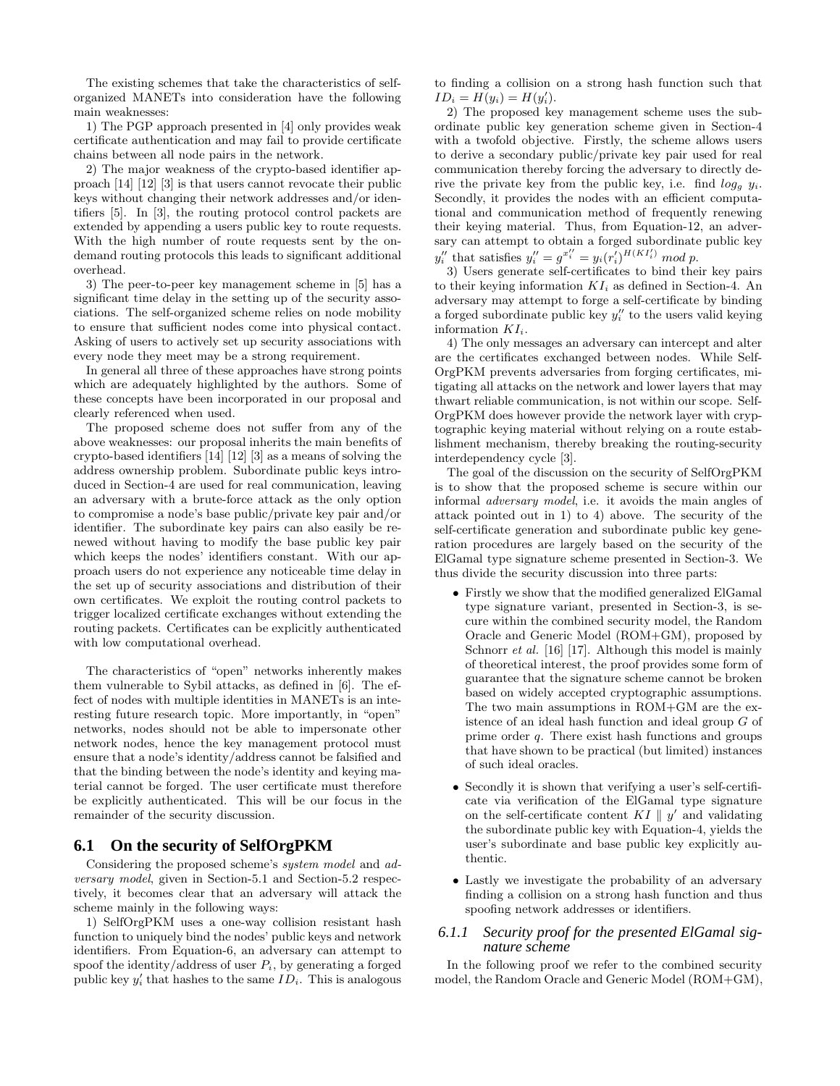The existing schemes that take the characteristics of selforganized MANETs into consideration have the following main weaknesses:

1) The PGP approach presented in [4] only provides weak certificate authentication and may fail to provide certificate chains between all node pairs in the network.

2) The major weakness of the crypto-based identifier approach [14] [12] [3] is that users cannot revocate their public keys without changing their network addresses and/or identifiers [5]. In [3], the routing protocol control packets are extended by appending a users public key to route requests. With the high number of route requests sent by the ondemand routing protocols this leads to significant additional overhead.

3) The peer-to-peer key management scheme in [5] has a significant time delay in the setting up of the security associations. The self-organized scheme relies on node mobility to ensure that sufficient nodes come into physical contact. Asking of users to actively set up security associations with every node they meet may be a strong requirement.

In general all three of these approaches have strong points which are adequately highlighted by the authors. Some of these concepts have been incorporated in our proposal and clearly referenced when used.

The proposed scheme does not suffer from any of the above weaknesses: our proposal inherits the main benefits of crypto-based identifiers [14] [12] [3] as a means of solving the address ownership problem. Subordinate public keys introduced in Section-4 are used for real communication, leaving an adversary with a brute-force attack as the only option to compromise a node's base public/private key pair and/or identifier. The subordinate key pairs can also easily be renewed without having to modify the base public key pair which keeps the nodes' identifiers constant. With our approach users do not experience any noticeable time delay in the set up of security associations and distribution of their own certificates. We exploit the routing control packets to trigger localized certificate exchanges without extending the routing packets. Certificates can be explicitly authenticated with low computational overhead.

The characteristics of "open" networks inherently makes them vulnerable to Sybil attacks, as defined in [6]. The effect of nodes with multiple identities in MANETs is an interesting future research topic. More importantly, in "open" networks, nodes should not be able to impersonate other network nodes, hence the key management protocol must ensure that a node's identity/address cannot be falsified and that the binding between the node's identity and keying material cannot be forged. The user certificate must therefore be explicitly authenticated. This will be our focus in the remainder of the security discussion.

#### **6.1 On the security of SelfOrgPKM**

Considering the proposed scheme's system model and adversary model, given in Section-5.1 and Section-5.2 respectively, it becomes clear that an adversary will attack the scheme mainly in the following ways:

1) SelfOrgPKM uses a one-way collision resistant hash function to uniquely bind the nodes' public keys and network identifiers. From Equation-6, an adversary can attempt to spoof the identity/address of user  $P_i$ , by generating a forged public key  $y_i'$  that hashes to the same  $ID_i$ . This is analogous

to finding a collision on a strong hash function such that  $ID_i = H(y_i) = H(y'_i).$ 

2) The proposed key management scheme uses the subordinate public key generation scheme given in Section-4 with a twofold objective. Firstly, the scheme allows users to derive a secondary public/private key pair used for real communication thereby forcing the adversary to directly derive the private key from the public key, i.e. find  $log_a y_i$ . Secondly, it provides the nodes with an efficient computational and communication method of frequently renewing their keying material. Thus, from Equation-12, an adversary can attempt to obtain a forged subordinate public key  $y_i''$  that satisfies  $y_i'' = g^{x_i''} = y_i (r_i')^{H(KI_i')} \mod p$ .

3) Users generate self-certificates to bind their key pairs to their keying information  $KI_i$  as defined in Section-4. An adversary may attempt to forge a self-certificate by binding a forged subordinate public key  $y_i''$  to the users valid keying information  $KI_i$ .

4) The only messages an adversary can intercept and alter are the certificates exchanged between nodes. While Self-OrgPKM prevents adversaries from forging certificates, mitigating all attacks on the network and lower layers that may thwart reliable communication, is not within our scope. Self-OrgPKM does however provide the network layer with cryptographic keying material without relying on a route establishment mechanism, thereby breaking the routing-security interdependency cycle [3].

The goal of the discussion on the security of SelfOrgPKM is to show that the proposed scheme is secure within our informal adversary model, i.e. it avoids the main angles of attack pointed out in 1) to 4) above. The security of the self-certificate generation and subordinate public key generation procedures are largely based on the security of the ElGamal type signature scheme presented in Section-3. We thus divide the security discussion into three parts:

- Firstly we show that the modified generalized ElGamal type signature variant, presented in Section-3, is secure within the combined security model, the Random Oracle and Generic Model (ROM+GM), proposed by Schnorr *et al.* [16] [17]. Although this model is mainly of theoretical interest, the proof provides some form of guarantee that the signature scheme cannot be broken based on widely accepted cryptographic assumptions. The two main assumptions in ROM+GM are the existence of an ideal hash function and ideal group G of prime order q. There exist hash functions and groups that have shown to be practical (but limited) instances of such ideal oracles.
- Secondly it is shown that verifying a user's self-certificate via verification of the ElGamal type signature on the self-certificate content  $KI \parallel y'$  and validating the subordinate public key with Equation-4, yields the user's subordinate and base public key explicitly authentic.
- Lastly we investigate the probability of an adversary finding a collision on a strong hash function and thus spoofing network addresses or identifiers.

#### *6.1.1 Security proof for the presented ElGamal signature scheme*

In the following proof we refer to the combined security model, the Random Oracle and Generic Model (ROM+GM),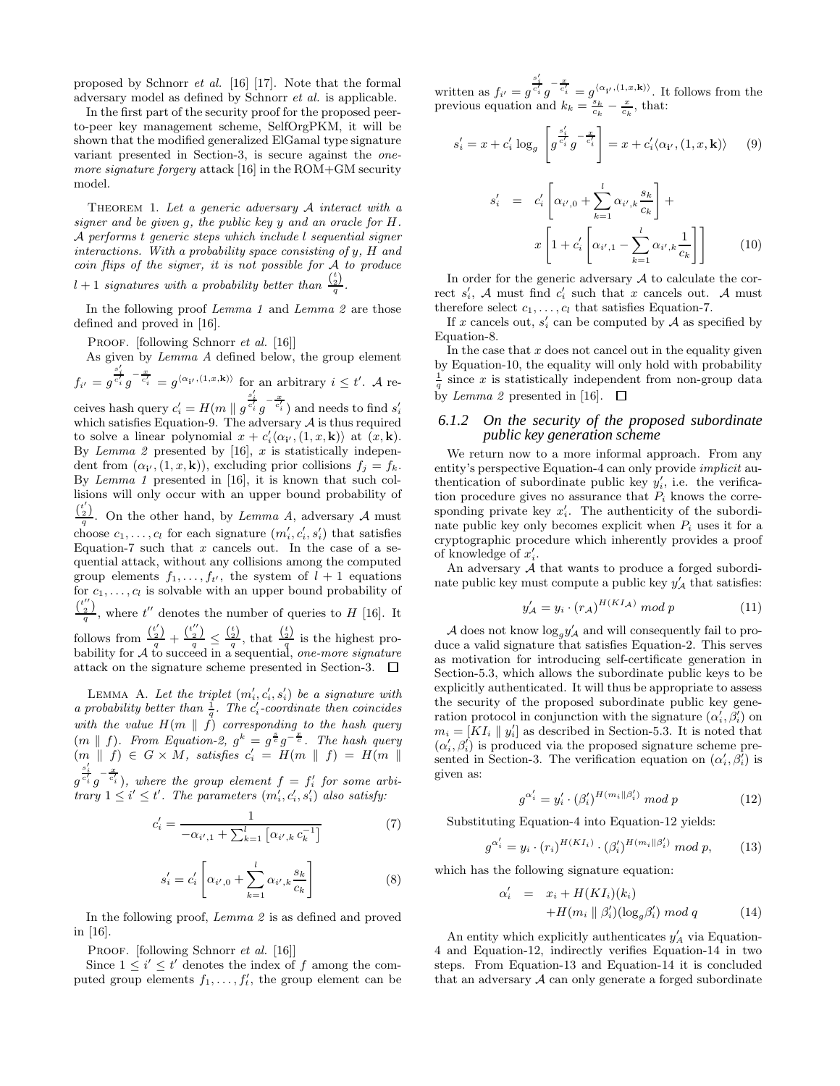proposed by Schnorr et al. [16] [17]. Note that the formal adversary model as defined by Schnorr et al. is applicable.

In the first part of the security proof for the proposed peerto-peer key management scheme, SelfOrgPKM, it will be shown that the modified generalized ElGamal type signature variant presented in Section-3, is secure against the onemore signature forgery attack [16] in the ROM+GM security model.

THEOREM 1. Let a generic adversary  $A$  interact with a signer and be given g, the public key y and an oracle for H. A performs t generic steps which include l sequential signer interactions. With a probability space consisting of y, H and coin flips of the signer, it is not possible for A to produce  $l+1$  signatures with a probability better than  $\frac{\binom{t}{2}}{q}$ .

In the following proof Lemma 1 and Lemma 2 are those defined and proved in [16].

PROOF. [following Schnorr *et al.* [16]]

As given by Lemma A defined below, the group element  $\frac{s_i'}{c_i'}g^{-\frac{x}{c_i'}}=g^{\langle\alpha_{\bf i'},(1,x,{\bf k})\rangle}$ 

$$
f_{i'} = g^{\overline{c'_i}} g^{-\overline{c'_i}} = g^{\langle \alpha_{i'}, (1,x,\mathbf{k}) \rangle} \text{ for an arbitrary } i \leq t'. \text{ A re-}
$$

ceives hash query  $c_i' = H(m \parallel g^{\frac{s_i'}{c_i'}}g^{-\frac{x}{c_i'}})$  and needs to find  $s_i'$ which satisfies Equation-9. The adversary  $A$  is thus required to solve a linear polynomial  $x + c'_i \langle \alpha_{i'}, (1, x, \mathbf{k}) \rangle$  at  $(x, \mathbf{k})$ . By Lemma 2 presented by  $[16]$ , x is statistically independent from  $(\alpha_{i'}, (1, x, \mathbf{k}))$ , excluding prior collisions  $f_j = f_k$ . By Lemma 1 presented in [16], it is known that such collisions will only occur with an upper bound probability of  $\frac{\binom{t'}{2}}{q}$ . On the other hand, by *Lemma A*, adversary *A* must

choose  $c_1, \ldots, c_l$  for each signature  $(m'_i, c'_i, s'_i)$  that satisfies Equation-7 such that  $x$  cancels out. In the case of a sequential attack, without any collisions among the computed group elements  $f_1, \ldots, f_{t'}$ , the system of  $l + 1$  equations for  $c_1, \ldots, c_l$  is solvable with an upper bound probability of  $\frac{\binom{t''}{2}}{q}$ , where  $t''$  denotes the number of queries to H [16]. It follows from  $\frac{\binom{t'}{2}}{q} + \frac{\binom{t''}{2}}{q} \leq \frac{\binom{t}{2}}{q}$ , that  $\frac{\binom{t}{2}}{q}$  is the highest probability for  $A$  to succeed in a sequential, one-more signature attack on the signature scheme presented in Section-3.  $\Box$ 

LEMMA A. Let the triplet  $(m'_i, c'_i, s'_i)$  be a signature with a probability better than  $\frac{1}{q}$ . The c'<sub>i</sub>-coordinate then coincides with the value  $H(m \parallel f)$  corresponding to the hash query  $(m \parallel f)$ . From Equation-2,  $g^k = g^{\frac{s}{c}}g^{-\frac{x}{c}}$ . The hash query  $(m \parallel f) \in G \times M$ , satisfies  $c_i' = H(m \parallel f) = H(m \parallel$ g  $\frac{s_i^\prime}{c_i^\prime}g^{-\frac{x}{c_i^\prime}}),$  where the group element  $f=f_i^\prime$  for some arbitrary  $1 \leq i' \leq t'$ . The parameters  $(m'_i, c'_i, s'_i)$  also satisfy:

$$
c'_{i} = \frac{1}{-\alpha_{i',1} + \sum_{k=1}^{l} [\alpha_{i',k} c_{k}^{-1}]} \tag{7}
$$

$$
s'_{i} = c'_{i} \left[ \alpha_{i',0} + \sum_{k=1}^{l} \alpha_{i',k} \frac{s_{k}}{c_{k}} \right]
$$
 (8)

In the following proof, Lemma 2 is as defined and proved in [16].

PROOF. [following Schnorr et al. [16]]

Since  $1 \leq i' \leq t'$  denotes the index of f among the computed group elements  $f_1, \ldots, f_t$ , the group element can be written as  $f_{i'} = g$  $\frac{s'_{i}}{c'_{i}} g^{-\frac{x}{c'_{i}}} = g^{\langle \alpha_{i'},(1,x,\mathbf{k}) \rangle}$ . It follows from the previous equation and  $k_k = \frac{s_k}{c_k} - \frac{x}{c_k}$ , that:

$$
s_i' = x + c_i' \log_g \left[ g^{\frac{s_i'}{c_i'}} g^{-\frac{x}{c_i'}} \right] = x + c_i' \langle \alpha_{\mathbf{i}'}, (1, x, \mathbf{k}) \rangle \qquad (9)
$$

$$
s'_{i} = c'_{i} \left[ \alpha_{i',0} + \sum_{k=1}^{l} \alpha_{i',k} \frac{s_{k}}{c_{k}} \right] +
$$
  

$$
x \left[ 1 + c'_{i} \left[ \alpha_{i',1} - \sum_{k=1}^{l} \alpha_{i',k} \frac{1}{c_{k}} \right] \right]
$$
 (10)

In order for the generic adversary  $A$  to calculate the correct  $s_i'$ , A must find  $c_i'$  such that x cancels out. A must therefore select  $c_1, \ldots, c_l$  that satisfies Equation-7.

If x cancels out,  $s_i'$  can be computed by A as specified by Equation-8.

In the case that  $x$  does not cancel out in the equality given by Equation-10, the equality will only hold with probability  $\frac{1}{q}$  since x is statistically independent from non-group data by Lemma 2 presented in [16].  $\Box$ 

#### *6.1.2 On the security of the proposed subordinate public key generation scheme*

We return now to a more informal approach. From any entity's perspective Equation-4 can only provide implicit authentication of subordinate public key  $y_i'$ , i.e. the verification procedure gives no assurance that  $P_i$  knows the corresponding private key  $x_i'$ . The authenticity of the subordinate public key only becomes explicit when  $P_i$  uses it for a cryptographic procedure which inherently provides a proof of knowledge of  $x_i'$ .

An adversary A that wants to produce a forged subordinate public key must compute a public key  $y'_{\mathcal{A}}$  that satisfies:

$$
y'_{\mathcal{A}} = y_i \cdot (r_{\mathcal{A}})^{H(KI_{\mathcal{A}})} \bmod p \tag{11}
$$

A does not know  $\log_g y'_{\mathcal{A}}$  and will consequently fail to produce a valid signature that satisfies Equation-2. This serves as motivation for introducing self-certificate generation in Section-5.3, which allows the subordinate public keys to be explicitly authenticated. It will thus be appropriate to assess the security of the proposed subordinate public key generation protocol in conjunction with the signature  $(\alpha'_i, \beta'_i)$  on  $m_i = [KI_i \mid y'_i]$  as described in Section-5.3. It is noted that  $(\alpha'_i, \beta'_i)$  is produced via the proposed signature scheme presented in Section-3. The verification equation on  $(\alpha'_i, \beta'_i)$  is given as:

$$
g^{\alpha'_i} = y'_i \cdot (\beta'_i)^{H(m_i \parallel \beta'_i)} \mod p \tag{12}
$$

Substituting Equation-4 into Equation-12 yields:

$$
g^{\alpha'_i} = y_i \cdot (r_i)^{H(KI_i)} \cdot (\beta'_i)^{H(m_i||\beta'_i)} \mod p, \tag{13}
$$

which has the following signature equation:

$$
\alpha'_i = x_i + H(KI_i)(k_i)
$$
  
+
$$
H(m_i \parallel \beta'_i)(\log_g \beta'_i) \mod q
$$
 (14)

An entity which explicitly authenticates  $y'_A$  via Equation-4 and Equation-12, indirectly verifies Equation-14 in two steps. From Equation-13 and Equation-14 it is concluded that an adversary  $A$  can only generate a forged subordinate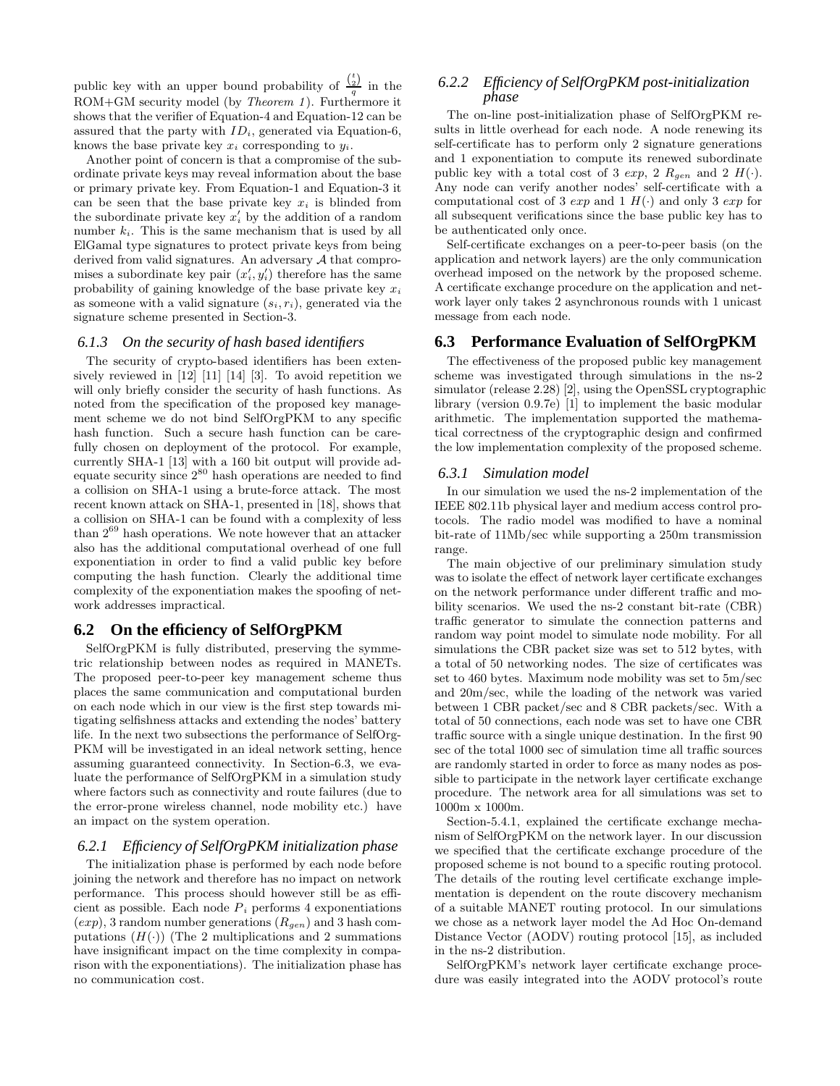public key with an upper bound probability of  $\frac{\binom{t}{2}}{q}$  in the  $ROM + GM$  security model (by *Theorem 1*). Furthermore it shows that the verifier of Equation-4 and Equation-12 can be assured that the party with  $ID_i$ , generated via Equation-6, knows the base private key  $x_i$  corresponding to  $y_i$ .

Another point of concern is that a compromise of the subordinate private keys may reveal information about the base or primary private key. From Equation-1 and Equation-3 it can be seen that the base private key  $x_i$  is blinded from the subordinate private key  $x_i'$  by the addition of a random number  $k_i$ . This is the same mechanism that is used by all ElGamal type signatures to protect private keys from being derived from valid signatures. An adversary A that compromises a subordinate key pair  $(x'_i, y'_i)$  therefore has the same probability of gaining knowledge of the base private key  $x_i$ as someone with a valid signature  $(s_i, r_i)$ , generated via the signature scheme presented in Section-3.

#### *6.1.3 On the security of hash based identifiers*

The security of crypto-based identifiers has been extensively reviewed in [12] [11] [14] [3]. To avoid repetition we will only briefly consider the security of hash functions. As noted from the specification of the proposed key management scheme we do not bind SelfOrgPKM to any specific hash function. Such a secure hash function can be carefully chosen on deployment of the protocol. For example, currently SHA-1 [13] with a 160 bit output will provide adequate security since 2 <sup>80</sup> hash operations are needed to find a collision on SHA-1 using a brute-force attack. The most recent known attack on SHA-1, presented in [18], shows that a collision on SHA-1 can be found with a complexity of less than 2 <sup>69</sup> hash operations. We note however that an attacker also has the additional computational overhead of one full exponentiation in order to find a valid public key before computing the hash function. Clearly the additional time complexity of the exponentiation makes the spoofing of network addresses impractical.

#### **6.2 On the efficiency of SelfOrgPKM**

SelfOrgPKM is fully distributed, preserving the symmetric relationship between nodes as required in MANETs. The proposed peer-to-peer key management scheme thus places the same communication and computational burden on each node which in our view is the first step towards mitigating selfishness attacks and extending the nodes' battery life. In the next two subsections the performance of SelfOrg-PKM will be investigated in an ideal network setting, hence assuming guaranteed connectivity. In Section-6.3, we evaluate the performance of SelfOrgPKM in a simulation study where factors such as connectivity and route failures (due to the error-prone wireless channel, node mobility etc.) have an impact on the system operation.

#### *6.2.1 Efficiency of SelfOrgPKM initialization phase*

The initialization phase is performed by each node before joining the network and therefore has no impact on network performance. This process should however still be as efficient as possible. Each node  $P_i$  performs 4 exponentiations  $(exp)$ , 3 random number generations  $(R_{gen})$  and 3 hash computations  $(H(\cdot))$  (The 2 multiplications and 2 summations have insignificant impact on the time complexity in comparison with the exponentiations). The initialization phase has no communication cost.

#### *6.2.2 Efficiency of SelfOrgPKM post-initialization phase*

The on-line post-initialization phase of SelfOrgPKM results in little overhead for each node. A node renewing its self-certificate has to perform only 2 signature generations and 1 exponentiation to compute its renewed subordinate public key with a total cost of 3  $exp$ , 2  $R_{gen}$  and 2  $H(.)$ . Any node can verify another nodes' self-certificate with a computational cost of 3  $exp$  and 1  $H(\cdot)$  and only 3  $exp$  for all subsequent verifications since the base public key has to be authenticated only once.

Self-certificate exchanges on a peer-to-peer basis (on the application and network layers) are the only communication overhead imposed on the network by the proposed scheme. A certificate exchange procedure on the application and network layer only takes 2 asynchronous rounds with 1 unicast message from each node.

#### **6.3 Performance Evaluation of SelfOrgPKM**

The effectiveness of the proposed public key management scheme was investigated through simulations in the ns-2 simulator (release 2.28) [2], using the OpenSSL cryptographic library (version 0.9.7e) [1] to implement the basic modular arithmetic. The implementation supported the mathematical correctness of the cryptographic design and confirmed the low implementation complexity of the proposed scheme.

#### *6.3.1 Simulation model*

In our simulation we used the ns-2 implementation of the IEEE 802.11b physical layer and medium access control protocols. The radio model was modified to have a nominal bit-rate of 11Mb/sec while supporting a 250m transmission range.

The main objective of our preliminary simulation study was to isolate the effect of network layer certificate exchanges on the network performance under different traffic and mobility scenarios. We used the ns-2 constant bit-rate (CBR) traffic generator to simulate the connection patterns and random way point model to simulate node mobility. For all simulations the CBR packet size was set to 512 bytes, with a total of 50 networking nodes. The size of certificates was set to 460 bytes. Maximum node mobility was set to 5m/sec and 20m/sec, while the loading of the network was varied between 1 CBR packet/sec and 8 CBR packets/sec. With a total of 50 connections, each node was set to have one CBR traffic source with a single unique destination. In the first 90 sec of the total 1000 sec of simulation time all traffic sources are randomly started in order to force as many nodes as possible to participate in the network layer certificate exchange procedure. The network area for all simulations was set to 1000m x 1000m.

Section-5.4.1, explained the certificate exchange mechanism of SelfOrgPKM on the network layer. In our discussion we specified that the certificate exchange procedure of the proposed scheme is not bound to a specific routing protocol. The details of the routing level certificate exchange implementation is dependent on the route discovery mechanism of a suitable MANET routing protocol. In our simulations we chose as a network layer model the Ad Hoc On-demand Distance Vector (AODV) routing protocol [15], as included in the ns-2 distribution.

SelfOrgPKM's network layer certificate exchange procedure was easily integrated into the AODV protocol's route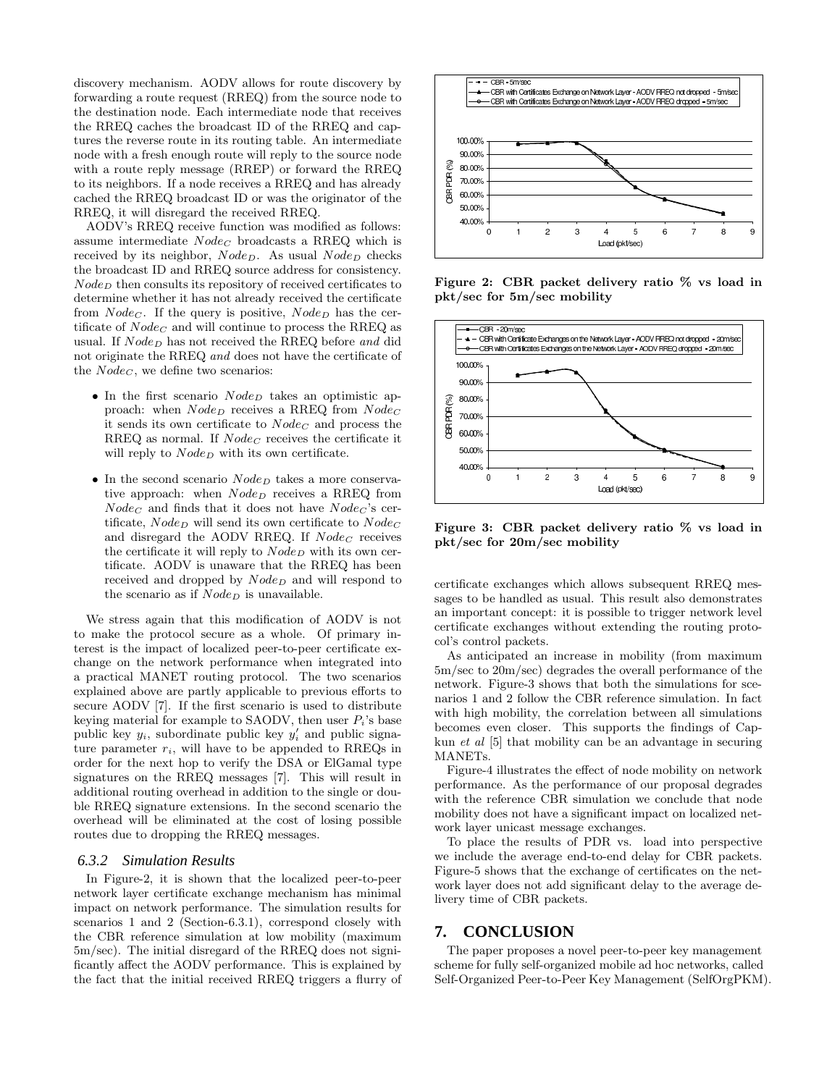discovery mechanism. AODV allows for route discovery by forwarding a route request (RREQ) from the source node to the destination node. Each intermediate node that receives the RREQ caches the broadcast ID of the RREQ and captures the reverse route in its routing table. An intermediate node with a fresh enough route will reply to the source node with a route reply message (RREP) or forward the RREQ to its neighbors. If a node receives a RREQ and has already cached the RREQ broadcast ID or was the originator of the RREQ, it will disregard the received RREQ.

AODV's RREQ receive function was modified as follows: assume intermediate  $Node_C$  broadcasts a RREQ which is received by its neighbor,  $Node_D$ . As usual  $Node_D$  checks the broadcast ID and RREQ source address for consistency.  $Node_D$  then consults its repository of received certificates to determine whether it has not already received the certificate from  $Node_C$ . If the query is positive,  $Node_D$  has the certificate of  $Node_C$  and will continue to process the RREQ as usual. If  $Node_D$  has not received the RREQ before and did not originate the RREQ and does not have the certificate of the  $Node_C$ , we define two scenarios:

- In the first scenario  $Node_D$  takes an optimistic approach: when  $Node_D$  receives a RREQ from  $Node_C$ it sends its own certificate to  $Node_C$  and process the RREQ as normal. If  $Node_C$  receives the certificate it will reply to  $Node_D$  with its own certificate.
- In the second scenario  $Node_D$  takes a more conservative approach: when  $Node_D$  receives a RREQ from  $Node_C$  and finds that it does not have  $Node_C$ 's certificate,  $Node_D$  will send its own certificate to  $Node_C$ and disregard the AODV RREQ. If  $Node_C$  receives the certificate it will reply to  $Node_D$  with its own certificate. AODV is unaware that the RREQ has been received and dropped by  $Node_D$  and will respond to the scenario as if  $Node_D$  is unavailable.

We stress again that this modification of AODV is not to make the protocol secure as a whole. Of primary interest is the impact of localized peer-to-peer certificate exchange on the network performance when integrated into a practical MANET routing protocol. The two scenarios explained above are partly applicable to previous efforts to secure AODV [7]. If the first scenario is used to distribute keying material for example to SAODV, then user  $P_i$ 's base public key  $y_i$ , subordinate public key  $y'_i$  and public signature parameter  $r_i$ , will have to be appended to RREQs in order for the next hop to verify the DSA or ElGamal type signatures on the RREQ messages [7]. This will result in additional routing overhead in addition to the single or double RREQ signature extensions. In the second scenario the overhead will be eliminated at the cost of losing possible routes due to dropping the RREQ messages.

#### *6.3.2 Simulation Results*

In Figure-2, it is shown that the localized peer-to-peer network layer certificate exchange mechanism has minimal impact on network performance. The simulation results for scenarios 1 and 2 (Section-6.3.1), correspond closely with the CBR reference simulation at low mobility (maximum 5m/sec). The initial disregard of the RREQ does not significantly affect the AODV performance. This is explained by the fact that the initial received RREQ triggers a flurry of



Figure 2: CBR packet delivery ratio % vs load in pkt/sec for 5m/sec mobility



Figure 3: CBR packet delivery ratio % vs load in pkt/sec for 20m/sec mobility

certificate exchanges which allows subsequent RREQ messages to be handled as usual. This result also demonstrates an important concept: it is possible to trigger network level certificate exchanges without extending the routing protocol's control packets.

As anticipated an increase in mobility (from maximum 5m/sec to 20m/sec) degrades the overall performance of the network. Figure-3 shows that both the simulations for scenarios 1 and 2 follow the CBR reference simulation. In fact with high mobility, the correlation between all simulations becomes even closer. This supports the findings of Capkun et al [5] that mobility can be an advantage in securing MANETs.

Figure-4 illustrates the effect of node mobility on network performance. As the performance of our proposal degrades with the reference CBR simulation we conclude that node mobility does not have a significant impact on localized network layer unicast message exchanges.

To place the results of PDR vs. load into perspective we include the average end-to-end delay for CBR packets. Figure-5 shows that the exchange of certificates on the network layer does not add significant delay to the average delivery time of CBR packets.

### **7. CONCLUSION**

The paper proposes a novel peer-to-peer key management scheme for fully self-organized mobile ad hoc networks, called Self-Organized Peer-to-Peer Key Management (SelfOrgPKM).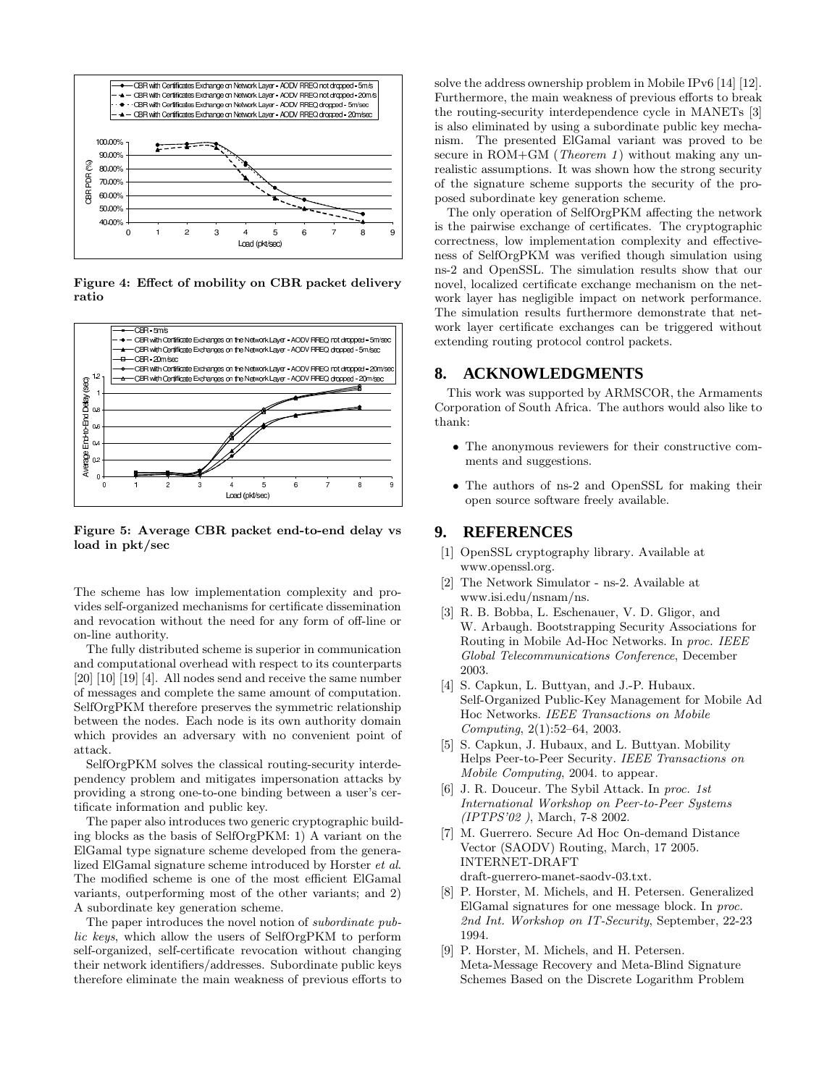

Figure 4: Effect of mobility on CBR packet delivery ratio



Figure 5: Average CBR packet end-to-end delay vs load in pkt/sec

The scheme has low implementation complexity and provides self-organized mechanisms for certificate dissemination and revocation without the need for any form of off-line or on-line authority.

The fully distributed scheme is superior in communication and computational overhead with respect to its counterparts [20] [10] [19] [4]. All nodes send and receive the same number of messages and complete the same amount of computation. SelfOrgPKM therefore preserves the symmetric relationship between the nodes. Each node is its own authority domain which provides an adversary with no convenient point of attack.

SelfOrgPKM solves the classical routing-security interdependency problem and mitigates impersonation attacks by providing a strong one-to-one binding between a user's certificate information and public key.

The paper also introduces two generic cryptographic building blocks as the basis of SelfOrgPKM: 1) A variant on the ElGamal type signature scheme developed from the generalized ElGamal signature scheme introduced by Horster et al. The modified scheme is one of the most efficient ElGamal variants, outperforming most of the other variants; and 2) A subordinate key generation scheme.

The paper introduces the novel notion of subordinate public keys, which allow the users of SelfOrgPKM to perform self-organized, self-certificate revocation without changing their network identifiers/addresses. Subordinate public keys therefore eliminate the main weakness of previous efforts to

solve the address ownership problem in Mobile IPv6 [14] [12]. Furthermore, the main weakness of previous efforts to break the routing-security interdependence cycle in MANETs [3] is also eliminated by using a subordinate public key mechanism. The presented ElGamal variant was proved to be secure in  $ROM + GM$  (*Theorem 1*) without making any unrealistic assumptions. It was shown how the strong security of the signature scheme supports the security of the proposed subordinate key generation scheme.

The only operation of SelfOrgPKM affecting the network is the pairwise exchange of certificates. The cryptographic correctness, low implementation complexity and effectiveness of SelfOrgPKM was verified though simulation using ns-2 and OpenSSL. The simulation results show that our novel, localized certificate exchange mechanism on the network layer has negligible impact on network performance. The simulation results furthermore demonstrate that network layer certificate exchanges can be triggered without extending routing protocol control packets.

## **8. ACKNOWLEDGMENTS**

This work was supported by ARMSCOR, the Armaments Corporation of South Africa. The authors would also like to thank:

- The anonymous reviewers for their constructive comments and suggestions.
- The authors of ns-2 and OpenSSL for making their open source software freely available.

# **9. REFERENCES**

- [1] OpenSSL cryptography library. Available at www.openssl.org.
- [2] The Network Simulator ns-2. Available at www.isi.edu/nsnam/ns.
- [3] R. B. Bobba, L. Eschenauer, V. D. Gligor, and W. Arbaugh. Bootstrapping Security Associations for Routing in Mobile Ad-Hoc Networks. In proc. IEEE Global Telecommunications Conference, December 2003.
- [4] S. Capkun, L. Buttyan, and J.-P. Hubaux. Self-Organized Public-Key Management for Mobile Ad Hoc Networks. IEEE Transactions on Mobile Computing, 2(1):52–64, 2003.
- [5] S. Capkun, J. Hubaux, and L. Buttyan. Mobility Helps Peer-to-Peer Security. IEEE Transactions on Mobile Computing, 2004. to appear.
- [6] J. R. Douceur. The Sybil Attack. In proc. 1st International Workshop on Peer-to-Peer Systems (IPTPS'02 ), March, 7-8 2002.
- [7] M. Guerrero. Secure Ad Hoc On-demand Distance Vector (SAODV) Routing, March, 17 2005. INTERNET-DRAFT draft-guerrero-manet-saodv-03.txt.
- [8] P. Horster, M. Michels, and H. Petersen. Generalized ElGamal signatures for one message block. In proc. 2nd Int. Workshop on IT-Security, September, 22-23 1994.
- [9] P. Horster, M. Michels, and H. Petersen. Meta-Message Recovery and Meta-Blind Signature Schemes Based on the Discrete Logarithm Problem